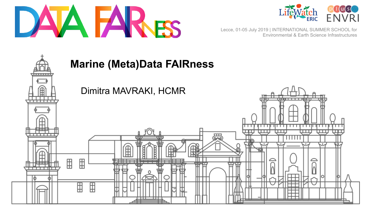



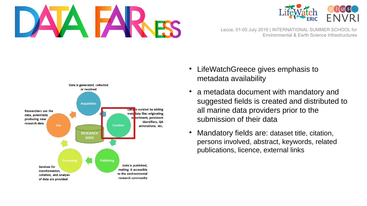





- LifeWatchGreece gives emphasis to metadata availability
- a metadata document with mandatory and suggested fields is created and distributed to all marine data providers prior to the submission of their data
- Mandatory fields are: dataset title, citation, persons involved, abstract, keywords, related publications, licence, external links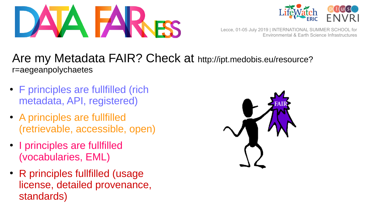



## Are my Metadata FAIR? Check at http://ipt.medobis.eu/resource? r=aegeanpolychaetes

- F principles are fullfilled (rich metadata, API, registered)
- A principles are fullfilled (retrievable, accessible, open)
- I principles are fullfilled (vocabularies, EML)
- R principles fullfilled (usage license, detailed provenance, standards)

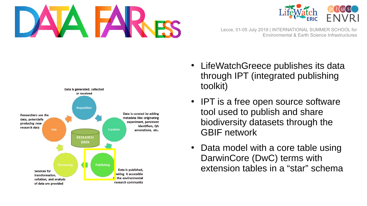





- LifeWatchGreece publishes its data through IPT (integrated publishing toolkit)
- IPT is a free open source software tool used to publish and share biodiversity datasets through the GBIF network
- Data model with a core table using DarwinCore (DwC) terms with extension tables in a "star" schema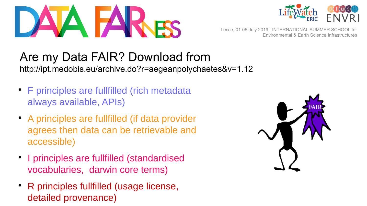



## Are my Data FAIR? Download from

http://ipt.medobis.eu/archive.do?r=aegeanpolychaetes&v=1.12

- F principles are fullfilled (rich metadata always available, APIs)
- A principles are fullfilled (if data provider agrees then data can be retrievable and accessible)
- I principles are fullfilled (standardised vocabularies, darwin core terms)
- R principles fullfilled (usage license, detailed provenance)